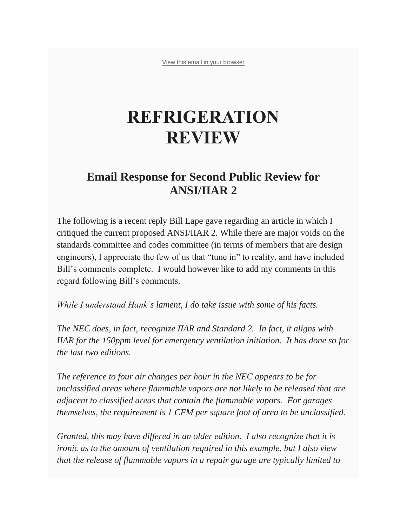[View this email in your browser](https://mailchi.mp/f25af499da41/response-to-comments-on-ansiiiar-2?e=6295712584)

## **REFRIGERATION REVIEW**

## **Email Response for Second Public Review for ANSI/IIAR 2**

The following is a recent reply Bill Lape gave regarding an article in which I critiqued the current proposed ANSI/IIAR 2. While there are major voids on the standards committee and codes committee (in terms of members that are design engineers), I appreciate the few of us that "tune in" to reality, and have included Bill's comments complete. I would however like to add my comments in this regard following Bill's comments.

*While I understand Hank's lament, I do take issue with some of his facts.*

*The NEC does, in fact, recognize IIAR and Standard 2. In fact, it aligns with IIAR for the 150ppm level for emergency ventilation initiation. It has done so for the last two editions.*

*The reference to four air changes per hour in the NEC appears to be for unclassified areas where flammable vapors are not likely to be released that are adjacent to classified areas that contain the flammable vapors. For garages themselves, the requirement is 1 CFM per square foot of area to be unclassified.*

*Granted, this may have differed in an older edition. I also recognize that it is ironic as to the amount of ventilation required in this example, but I also view that the release of flammable vapors in a repair garage are typically limited to*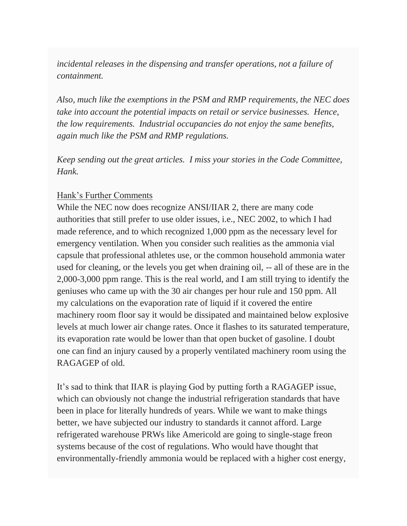*incidental releases in the dispensing and transfer operations, not a failure of containment.*

*Also, much like the exemptions in the PSM and RMP requirements, the NEC does take into account the potential impacts on retail or service businesses. Hence, the low requirements. Industrial occupancies do not enjoy the same benefits, again much like the PSM and RMP regulations.*

*Keep sending out the great articles. I miss your stories in the Code Committee, Hank.*

## Hank's Further Comments

While the NEC now does recognize ANSI/IIAR 2, there are many code authorities that still prefer to use older issues, i.e., NEC 2002, to which I had made reference, and to which recognized 1,000 ppm as the necessary level for emergency ventilation. When you consider such realities as the ammonia vial capsule that professional athletes use, or the common household ammonia water used for cleaning, or the levels you get when draining oil, -- all of these are in the 2,000-3,000 ppm range. This is the real world, and I am still trying to identify the geniuses who came up with the 30 air changes per hour rule and 150 ppm. All my calculations on the evaporation rate of liquid if it covered the entire machinery room floor say it would be dissipated and maintained below explosive levels at much lower air change rates. Once it flashes to its saturated temperature, its evaporation rate would be lower than that open bucket of gasoline. I doubt one can find an injury caused by a properly ventilated machinery room using the RAGAGEP of old.

It's sad to think that IIAR is playing God by putting forth a RAGAGEP issue, which can obviously not change the industrial refrigeration standards that have been in place for literally hundreds of years. While we want to make things better, we have subjected our industry to standards it cannot afford. Large refrigerated warehouse PRWs like Americold are going to single-stage freon systems because of the cost of regulations. Who would have thought that environmentally-friendly ammonia would be replaced with a higher cost energy,